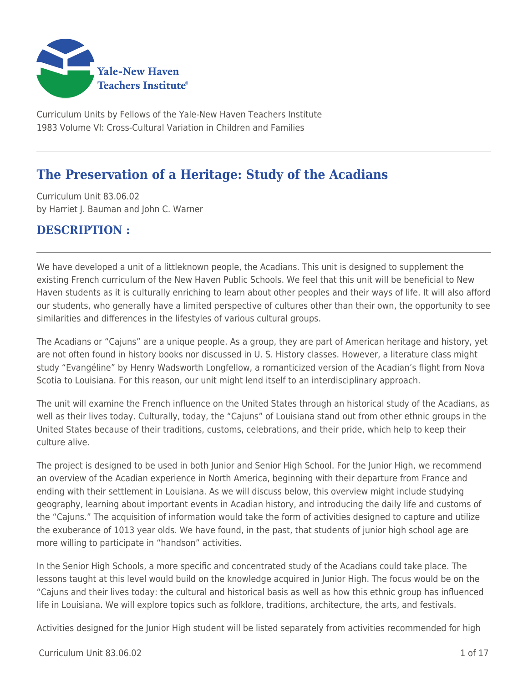

Curriculum Units by Fellows of the Yale-New Haven Teachers Institute 1983 Volume VI: Cross-Cultural Variation in Children and Families

# **The Preservation of a Heritage: Study of the Acadians**

Curriculum Unit 83.06.02 by Harriet J. Bauman and John C. Warner

## **DESCRIPTION :**

We have developed a unit of a littleknown people, the Acadians. This unit is designed to supplement the existing French curriculum of the New Haven Public Schools. We feel that this unit will be beneficial to New Haven students as it is culturally enriching to learn about other peoples and their ways of life. It will also afford our students, who generally have a limited perspective of cultures other than their own, the opportunity to see similarities and differences in the lifestyles of various cultural groups.

The Acadians or "Cajuns" are a unique people. As a group, they are part of American heritage and history, yet are not often found in history books nor discussed in U. S. History classes. However, a literature class might study "Evangéline" by Henry Wadsworth Longfellow, a romanticized version of the Acadian's flight from Nova Scotia to Louisiana. For this reason, our unit might lend itself to an interdisciplinary approach.

The unit will examine the French influence on the United States through an historical study of the Acadians, as well as their lives today. Culturally, today, the "Cajuns" of Louisiana stand out from other ethnic groups in the United States because of their traditions, customs, celebrations, and their pride, which help to keep their culture alive.

The project is designed to be used in both Junior and Senior High School. For the Junior High, we recommend an overview of the Acadian experience in North America, beginning with their departure from France and ending with their settlement in Louisiana. As we will discuss below, this overview might include studying geography, learning about important events in Acadian history, and introducing the daily life and customs of the "Cajuns." The acquisition of information would take the form of activities designed to capture and utilize the exuberance of 1013 year olds. We have found, in the past, that students of junior high school age are more willing to participate in "handson" activities.

In the Senior High Schools, a more specific and concentrated study of the Acadians could take place. The lessons taught at this level would build on the knowledge acquired in Junior High. The focus would be on the "Cajuns and their lives today: the cultural and historical basis as well as how this ethnic group has influenced life in Louisiana. We will explore topics such as folklore, traditions, architecture, the arts, and festivals.

Activities designed for the Junior High student will be listed separately from activities recommended for high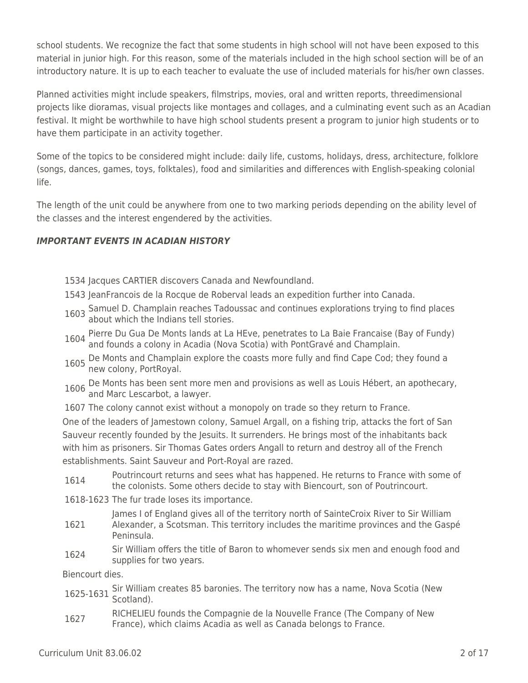school students. We recognize the fact that some students in high school will not have been exposed to this material in junior high. For this reason, some of the materials included in the high school section will be of an introductory nature. It is up to each teacher to evaluate the use of included materials for his/her own classes.

Planned activities might include speakers, filmstrips, movies, oral and written reports, threedimensional projects like dioramas, visual projects like montages and collages, and a culminating event such as an Acadian festival. It might be worthwhile to have high school students present a program to junior high students or to have them participate in an activity together.

Some of the topics to be considered might include: daily life, customs, holidays, dress, architecture, folklore (songs, dances, games, toys, folktales), food and similarities and differences with English-speaking colonial life.

The length of the unit could be anywhere from one to two marking periods depending on the ability level of the classes and the interest engendered by the activities.

## *IMPORTANT EVENTS IN ACADIAN HISTORY*

- 1534 Jacques CARTIER discovers Canada and Newfoundland.
- 1543 JeanFrancois de la Rocque de Roberval leads an expedition further into Canada.
- 1603 Samuel D. Champlain reaches Tadoussac and continues explorations trying to find places about which the Indians tell stories.
- 1604 Pierre Du Gua De Monts lands at La HEve, penetrates to La Baie Francaise (Bay of Fundy)<br>and founds a colony in Acadia (Nova Scotia) with PontGravé and Champlain.
- 1605 De Monts and Champlain explore the coasts more fully and find Cape Cod; they found a new colony, PortRoyal.
- <sup>1606</sup> De Monts has been sent more men and provisions as well as Louis Hébert, an apothecary, and Marc Lescarbot, a lawyer.
- 1607 The colony cannot exist without a monopoly on trade so they return to France.

One of the leaders of Jamestown colony, Samuel Argall, on a fishing trip, attacks the fort of San Sauveur recently founded by the Jesuits. It surrenders. He brings most of the inhabitants back with him as prisoners. Sir Thomas Gates orders Angall to return and destroy all of the French establishments. Saint Sauveur and Port-Royal are razed.

- 1614 Poutrincourt returns and sees what has happened. He returns to France with some of the colonists. Some others decide to stay with Biencourt, son of Poutrincourt.
- 1618-1623 The fur trade loses its importance.

James I of England gives all of the territory north of SainteCroix River to Sir William

- 1621 Alexander, a Scotsman. This territory includes the maritime provinces and the Gaspé Peninsula.
- 1624 Sir William offers the title of Baron to whomever sends six men and enough food and supplies for two years.

Biencourt dies.

- 1625-1631 Sir William creates 85 baronies. The territory now has a name, Nova Scotia (New Scotland).
- 1627 RICHELIEU founds the Compagnie de la Nouvelle France (The Company of New France), which claims Acadia as well as Canada belongs to France.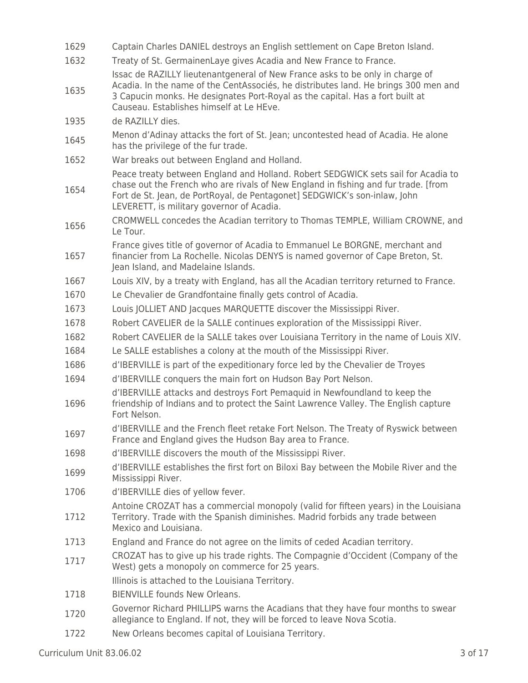| 1629 | Captain Charles DANIEL destroys an English settlement on Cape Breton Island.                                                                                                                                                                                                                      |
|------|---------------------------------------------------------------------------------------------------------------------------------------------------------------------------------------------------------------------------------------------------------------------------------------------------|
| 1632 | Treaty of St. GermainenLaye gives Acadia and New France to France.                                                                                                                                                                                                                                |
| 1635 | Issac de RAZILLY lieutenantgeneral of New France asks to be only in charge of<br>Acadia. In the name of the CentAssociés, he distributes land. He brings 300 men and<br>3 Capucin monks. He designates Port-Royal as the capital. Has a fort built at<br>Causeau. Establishes himself at Le HEve. |
| 1935 | de RAZILLY dies.                                                                                                                                                                                                                                                                                  |
| 1645 | Menon d'Adinay attacks the fort of St. Jean; uncontested head of Acadia. He alone<br>has the privilege of the fur trade.                                                                                                                                                                          |
| 1652 | War breaks out between England and Holland.                                                                                                                                                                                                                                                       |
| 1654 | Peace treaty between England and Holland. Robert SEDGWICK sets sail for Acadia to<br>chase out the French who are rivals of New England in fishing and fur trade. [from<br>Fort de St. Jean, de PortRoyal, de Pentagonet] SEDGWICK's son-inlaw, John<br>LEVERETT, is military governor of Acadia. |
| 1656 | CROMWELL concedes the Acadian territory to Thomas TEMPLE, William CROWNE, and<br>Le Tour.                                                                                                                                                                                                         |
| 1657 | France gives title of governor of Acadia to Emmanuel Le BORGNE, merchant and<br>financier from La Rochelle. Nicolas DENYS is named governor of Cape Breton, St.<br>Jean Island, and Madelaine Islands.                                                                                            |
| 1667 | Louis XIV, by a treaty with England, has all the Acadian territory returned to France.                                                                                                                                                                                                            |
| 1670 | Le Chevalier de Grandfontaine finally gets control of Acadia.                                                                                                                                                                                                                                     |
| 1673 | Louis JOLLIET AND Jacques MARQUETTE discover the Mississippi River.                                                                                                                                                                                                                               |
| 1678 | Robert CAVELIER de la SALLE continues exploration of the Mississippi River.                                                                                                                                                                                                                       |
| 1682 | Robert CAVELIER de la SALLE takes over Louisiana Territory in the name of Louis XIV.                                                                                                                                                                                                              |
| 1684 | Le SALLE establishes a colony at the mouth of the Mississippi River.                                                                                                                                                                                                                              |
| 1686 | d'IBERVILLE is part of the expeditionary force led by the Chevalier de Troyes                                                                                                                                                                                                                     |
| 1694 | d'IBERVILLE conquers the main fort on Hudson Bay Port Nelson.                                                                                                                                                                                                                                     |
| 1696 | d'IBERVILLE attacks and destroys Fort Pemaquid in Newfoundland to keep the<br>friendship of Indians and to protect the Saint Lawrence Valley. The English capture<br>Fort Nelson.                                                                                                                 |
| 1697 | d'IBERVILLE and the French fleet retake Fort Nelson. The Treaty of Ryswick between<br>France and England gives the Hudson Bay area to France.                                                                                                                                                     |
| 1698 | d'IBERVILLE discovers the mouth of the Mississippi River.                                                                                                                                                                                                                                         |
| 1699 | d'IBERVILLE establishes the first fort on Biloxi Bay between the Mobile River and the<br>Mississippi River.                                                                                                                                                                                       |
| 1706 | d'IBERVILLE dies of yellow fever.                                                                                                                                                                                                                                                                 |
| 1712 | Antoine CROZAT has a commercial monopoly (valid for fifteen years) in the Louisiana<br>Territory. Trade with the Spanish diminishes. Madrid forbids any trade between<br>Mexico and Louisiana.                                                                                                    |
| 1713 | England and France do not agree on the limits of ceded Acadian territory.                                                                                                                                                                                                                         |
| 1717 | CROZAT has to give up his trade rights. The Compagnie d'Occident (Company of the<br>West) gets a monopoly on commerce for 25 years.                                                                                                                                                               |
|      | Illinois is attached to the Louisiana Territory.                                                                                                                                                                                                                                                  |
| 1718 | <b>BIENVILLE founds New Orleans.</b>                                                                                                                                                                                                                                                              |
| 1720 | Governor Richard PHILLIPS warns the Acadians that they have four months to swear<br>allegiance to England. If not, they will be forced to leave Nova Scotia.                                                                                                                                      |
|      |                                                                                                                                                                                                                                                                                                   |

1722 New Orleans becomes capital of Louisiana Territory.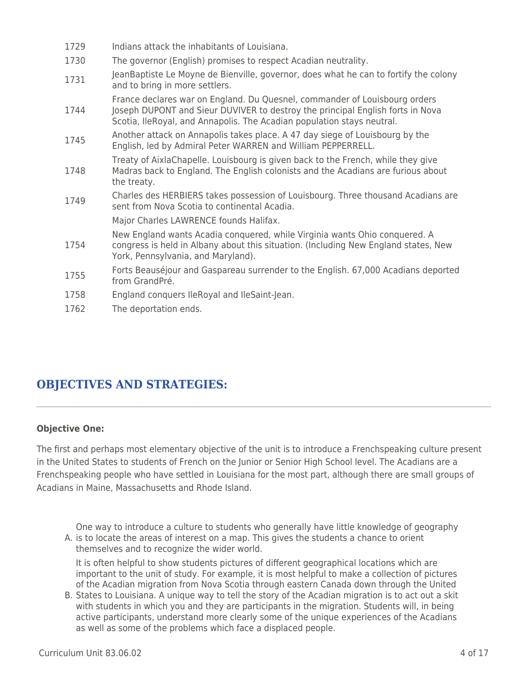| 1729 | Indians attack the inhabitants of Louisiana.                                                                                                                                                                                           |
|------|----------------------------------------------------------------------------------------------------------------------------------------------------------------------------------------------------------------------------------------|
| 1730 | The governor (English) promises to respect Acadian neutrality.                                                                                                                                                                         |
| 1731 | JeanBaptiste Le Moyne de Bienville, governor, does what he can to fortify the colony<br>and to bring in more settlers.                                                                                                                 |
| 1744 | France declares war on England. Du Quesnel, commander of Louisbourg orders<br>Joseph DUPONT and Sieur DUVIVER to destroy the principal English forts in Nova<br>Scotia, IleRoyal, and Annapolis. The Acadian population stays neutral. |
| 1745 | Another attack on Annapolis takes place. A 47 day siege of Louisbourg by the<br>English, led by Admiral Peter WARREN and William PEPPERRELL.                                                                                           |
| 1748 | Treaty of AixlaChapelle. Louisbourg is given back to the French, while they give<br>Madras back to England. The English colonists and the Acadians are furious about<br>the treaty.                                                    |
| 1749 | Charles des HERBIERS takes possession of Louisbourg. Three thousand Acadians are<br>sent from Nova Scotia to continental Acadia.                                                                                                       |
|      | Major Charles LAWRENCE founds Halifax.                                                                                                                                                                                                 |
| 1754 | New England wants Acadia conquered, while Virginia wants Ohio conquered. A<br>congress is held in Albany about this situation. (Including New England states, New<br>York, Pennsylvania, and Maryland).                                |
| 1755 | Forts Beauséjour and Gaspareau surrender to the English. 67,000 Acadians deported<br>from GrandPré.                                                                                                                                    |
| 1758 | England conquers IleRoyal and IleSaint-Jean.                                                                                                                                                                                           |
| 1762 | The deportation ends.                                                                                                                                                                                                                  |

## **OBJECTIVES AND STRATEGIES:**

## **Objective One:**

The first and perhaps most elementary objective of the unit is to introduce a Frenchspeaking culture present in the United States to students of French on the Junior or Senior High School level. The Acadians are a Frenchspeaking people who have settled in Louisiana for the most part, although there are small groups of Acadians in Maine, Massachusetts and Rhode Island.

One way to introduce a culture to students who generally have little knowledge of geography

A. is to locate the areas of interest on a map. This gives the students a chance to orient themselves and to recognize the wider world.

It is often helpful to show students pictures of different geographical locations which are important to the unit of study. For example, it is most helpful to make a collection of pictures of the Acadian migration from Nova Scotia through eastern Canada down through the United

B. States to Louisiana. A unique way to tell the story of the Acadian migration is to act out a skit with students in which you and they are participants in the migration. Students will, in being active participants, understand more clearly some of the unique experiences of the Acadians as well as some of the problems which face a displaced people.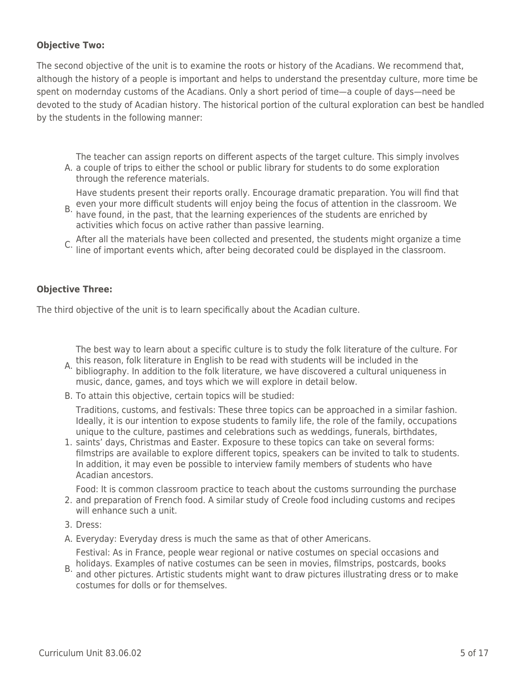## **Objective Two:**

The second objective of the unit is to examine the roots or history of the Acadians. We recommend that, although the history of a people is important and helps to understand the presentday culture, more time be spent on modernday customs of the Acadians. Only a short period of time—a couple of days—need be devoted to the study of Acadian history. The historical portion of the cultural exploration can best be handled by the students in the following manner:

A. a couple of trips to either the school or public library for students to do some exploration The teacher can assign reports on different aspects of the target culture. This simply involves through the reference materials.

Have students present their reports orally. Encourage dramatic preparation. You will find that

- B, even your more difficult students will enjoy being the focus of attention in the classroom. We<br>B, have found, in the past, that the learning everyioness of the students are enrished by have found, in the past, that the learning experiences of the students are enriched by activities which focus on active rather than passive learning.
- C. After all the materials have been collected and presented, the students might organize a time line of important events which, after being decorated could be displayed in the classroom.

## **Objective Three:**

The third objective of the unit is to learn specifically about the Acadian culture.

The best way to learn about a specific culture is to study the folk literature of the culture. For

- A, this reason, folk literature in English to be read with students will be included in the<br>A, bibliography, In addition to the folk literature, we have discovered a sultural unique bibliography. In addition to the folk literature, we have discovered a cultural uniqueness in music, dance, games, and toys which we will explore in detail below.
- B. To attain this objective, certain topics will be studied:

Traditions, customs, and festivals: These three topics can be approached in a similar fashion. Ideally, it is our intention to expose students to family life, the role of the family, occupations unique to the culture, pastimes and celebrations such as weddings, funerals, birthdates,

1. saints' days, Christmas and Easter. Exposure to these topics can take on several forms: filmstrips are available to explore different topics, speakers can be invited to talk to students. In addition, it may even be possible to interview family members of students who have Acadian ancestors.

Food: It is common classroom practice to teach about the customs surrounding the purchase

- 2. and preparation of French food. A similar study of Creole food including customs and recipes will enhance such a unit.
- 3. Dress:
- A. Everyday: Everyday dress is much the same as that of other Americans.

Festival: As in France, people wear regional or native costumes on special occasions and holidays. Examples of native costumes can be seen in movies, filmstrips, postcards, books

B. and other pictures. Artistic students might want to draw pictures illustrating dress or to make costumes for dolls or for themselves.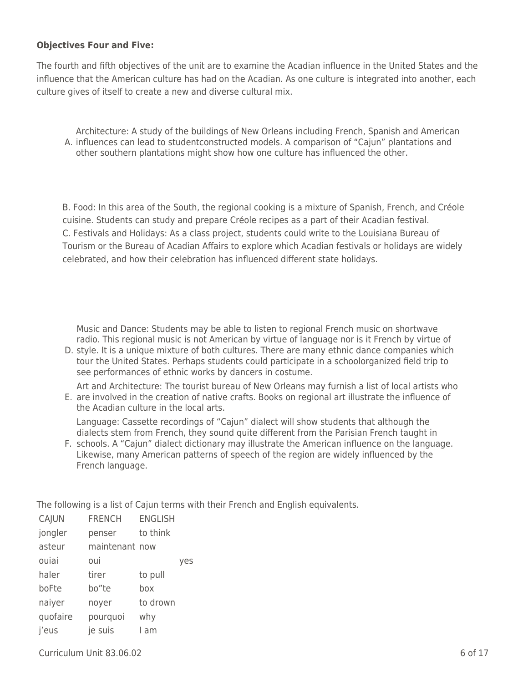#### **Objectives Four and Five:**

The fourth and fifth objectives of the unit are to examine the Acadian influence in the United States and the influence that the American culture has had on the Acadian. As one culture is integrated into another, each culture gives of itself to create a new and diverse cultural mix.

A. influences can lead to studentconstructed models. A comparison of "Cajun" plantations and Architecture: A study of the buildings of New Orleans including French, Spanish and American other southern plantations might show how one culture has influenced the other.

B. Food: In this area of the South, the regional cooking is a mixture of Spanish, French, and Créole cuisine. Students can study and prepare Créole recipes as a part of their Acadian festival. C. Festivals and Holidays: As a class project, students could write to the Louisiana Bureau of Tourism or the Bureau of Acadian Affairs to explore which Acadian festivals or holidays are widely celebrated, and how their celebration has influenced different state holidays.

Music and Dance: Students may be able to listen to regional French music on shortwave radio. This regional music is not American by virtue of language nor is it French by virtue of

- D. style. It is a unique mixture of both cultures. There are many ethnic dance companies which tour the United States. Perhaps students could participate in a schoolorganized field trip to see performances of ethnic works by dancers in costume.
- E. are involved in the creation of native crafts. Books on regional art illustrate the influence of Art and Architecture: The tourist bureau of New Orleans may furnish a list of local artists who the Acadian culture in the local arts.

Language: Cassette recordings of "Cajun" dialect will show students that although the dialects stem from French, they sound quite different from the Parisian French taught in

F. schools. A "Cajun" dialect dictionary may illustrate the American influence on the language. Likewise, many American patterns of speech of the region are widely influenced by the French language.

The following is a list of Cajun terms with their French and English equivalents.

| CAJUN    | <b>FRENCH</b>  | <b>ENGLISH</b> |     |
|----------|----------------|----------------|-----|
| jongler  | penser         | to think       |     |
| asteur   | maintenant now |                |     |
| ouiai    | oui            |                | ves |
| haler    | tirer          | to pull        |     |
| boFte    | bo"te          | box            |     |
| naiyer   | noyer          | to drown       |     |
| quofaire | pourquoi       | why            |     |
| j'eus    | je suis        | am             |     |

 $Curriculum$  Unit  $83.06.02$  6 of 17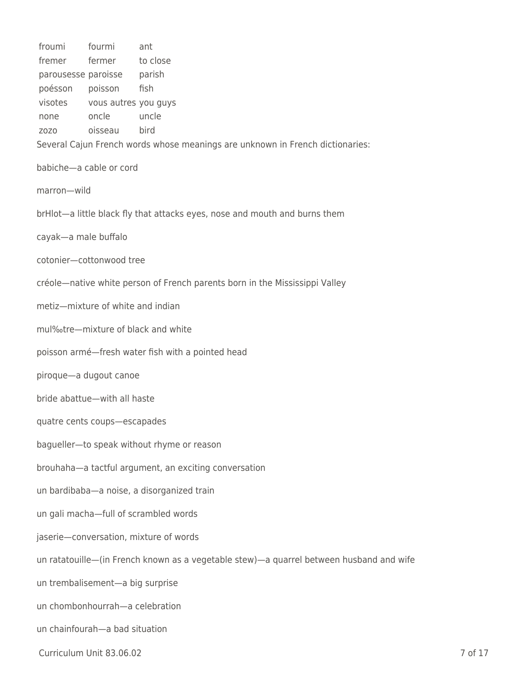| froumi               | fourmi                            | ant                                                                                     |         |
|----------------------|-----------------------------------|-----------------------------------------------------------------------------------------|---------|
| fremer               | fermer                            | to close                                                                                |         |
| parousesse paroisse  |                                   | parish                                                                                  |         |
| poésson              | poisson                           | fish                                                                                    |         |
| visotes              | vous autres you guys              |                                                                                         |         |
| none                 | oncle                             | uncle                                                                                   |         |
| Z0Z0                 | oisseau                           | bird                                                                                    |         |
|                      |                                   | Several Cajun French words whose meanings are unknown in French dictionaries:           |         |
|                      | babiche-a cable or cord           |                                                                                         |         |
| marron-wild          |                                   |                                                                                         |         |
|                      |                                   | brHlot-a little black fly that attacks eyes, nose and mouth and burns them              |         |
| cayak-a male buffalo |                                   |                                                                                         |         |
|                      | cotonier-cottonwood tree          |                                                                                         |         |
|                      |                                   | créole—native white person of French parents born in the Mississippi Valley             |         |
|                      | metiz-mixture of white and indian |                                                                                         |         |
|                      |                                   | mul%tre-mixture of black and white                                                      |         |
|                      |                                   | poisson armé-fresh water fish with a pointed head                                       |         |
|                      | piroque-a dugout canoe            |                                                                                         |         |
|                      | bride abattue-with all haste      |                                                                                         |         |
|                      | quatre cents coups-escapades      |                                                                                         |         |
|                      |                                   | bagueller-to speak without rhyme or reason                                              |         |
|                      |                                   | brouhaha-a tactful argument, an exciting conversation                                   |         |
|                      |                                   | un bardibaba-a noise, a disorganized train                                              |         |
|                      |                                   | un gali macha-full of scrambled words                                                   |         |
|                      |                                   | jaserie-conversation, mixture of words                                                  |         |
|                      |                                   | un ratatouille-(in French known as a vegetable stew)-a quarrel between husband and wife |         |
|                      | un trembalisement-a big surprise  |                                                                                         |         |
|                      | un chombonhourrah-a celebration   |                                                                                         |         |
|                      | un chainfourah-a bad situation    |                                                                                         |         |
|                      | Curriculum Unit 83.06.02          |                                                                                         | 7 of 17 |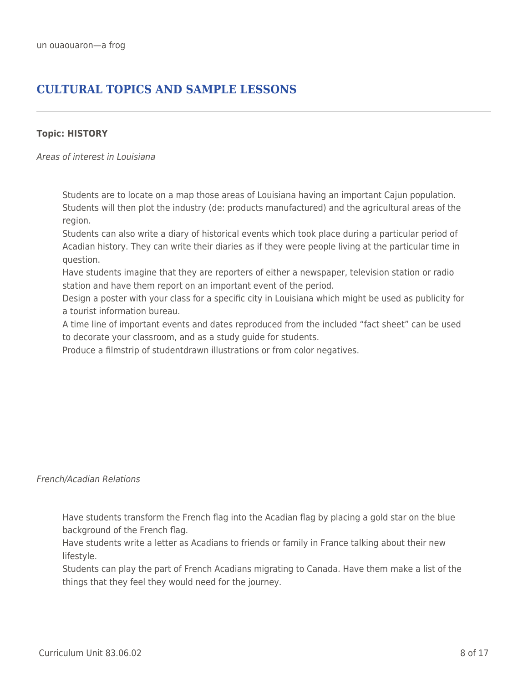## **CULTURAL TOPICS AND SAMPLE LESSONS**

#### **Topic: HISTORY**

Areas of interest in Louisiana

Students are to locate on a map those areas of Louisiana having an important Cajun population. Students will then plot the industry (de: products manufactured) and the agricultural areas of the region.

Students can also write a diary of historical events which took place during a particular period of Acadian history. They can write their diaries as if they were people living at the particular time in question.

Have students imagine that they are reporters of either a newspaper, television station or radio station and have them report on an important event of the period.

Design a poster with your class for a specific city in Louisiana which might be used as publicity for a tourist information bureau.

A time line of important events and dates reproduced from the included "fact sheet" can be used to decorate your classroom, and as a study guide for students.

Produce a filmstrip of studentdrawn illustrations or from color negatives.

#### French/Acadian Relations

Have students transform the French flag into the Acadian flag by placing a gold star on the blue background of the French flag.

Have students write a letter as Acadians to friends or family in France talking about their new lifestyle.

Students can play the part of French Acadians migrating to Canada. Have them make a list of the things that they feel they would need for the journey.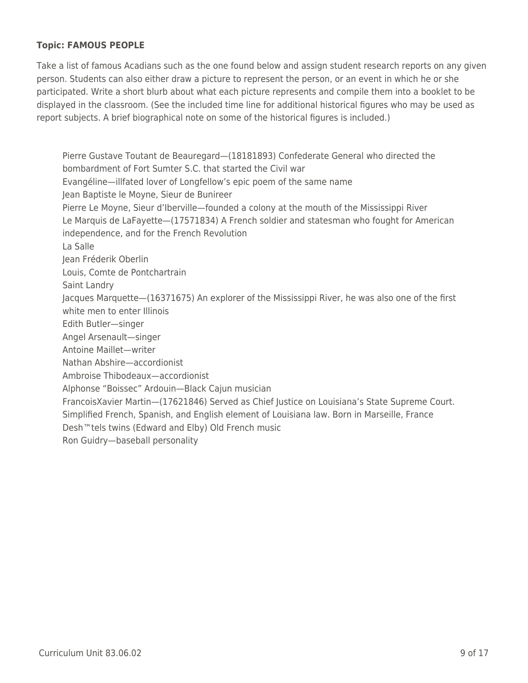## **Topic: FAMOUS PEOPLE**

Take a list of famous Acadians such as the one found below and assign student research reports on any given person. Students can also either draw a picture to represent the person, or an event in which he or she participated. Write a short blurb about what each picture represents and compile them into a booklet to be displayed in the classroom. (See the included time line for additional historical figures who may be used as report subjects. A brief biographical note on some of the historical figures is included.)

Pierre Gustave Toutant de Beauregard—(18181893) Confederate General who directed the bombardment of Fort Sumter S.C. that started the Civil war Evangéline—illfated lover of Longfellow's epic poem of the same name Jean Baptiste le Moyne, Sieur de Bunireer Pierre Le Moyne, Sieur d'Iberville—founded a colony at the mouth of the Mississippi River Le Marquis de LaFayette—(17571834) A French soldier and statesman who fought for American independence, and for the French Revolution La Salle Jean Fréderik Oberlin Louis, Comte de Pontchartrain Saint Landry Jacques Marquette—(16371675) An explorer of the Mississippi River, he was also one of the first white men to enter Illinois Edith Butler—singer Angel Arsenault—singer Antoine Maillet—writer Nathan Abshire—accordionist Ambroise Thibodeaux—accordionist Alphonse "Boissec" Ardouin—Black Cajun musician FrancoisXavier Martin—(17621846) Served as Chief Justice on Louisiana's State Supreme Court. Simplified French, Spanish, and English element of Louisiana law. Born in Marseille, France Desh™tels twins (Edward and Elby) Old French music Ron Guidry—baseball personality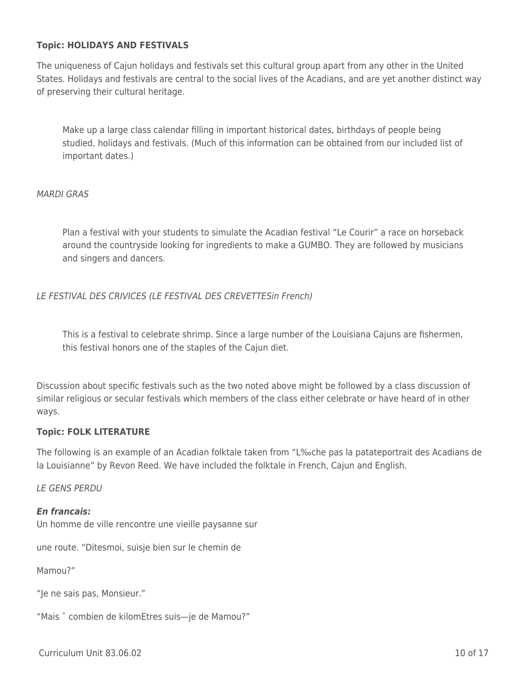#### **Topic: HOLIDAYS AND FESTIVALS**

The uniqueness of Cajun holidays and festivals set this cultural group apart from any other in the United States. Holidays and festivals are central to the social lives of the Acadians, and are yet another distinct way of preserving their cultural heritage.

Make up a large class calendar filling in important historical dates, birthdays of people being studied, holidays and festivals. (Much of this information can be obtained from our included list of important dates.)

#### MARDI GRAS

Plan a festival with your students to simulate the Acadian festival "Le Courir" a race on horseback around the countryside looking for ingredients to make a GUMBO. They are followed by musicians and singers and dancers.

LE FESTIVAL DES CRIVICES (LE FESTIVAL DES CREVETTESin French)

This is a festival to celebrate shrimp. Since a large number of the Louisiana Cajuns are fishermen, this festival honors one of the staples of the Cajun diet.

Discussion about specific festivals such as the two noted above might be followed by a class discussion of similar religious or secular festivals which members of the class either celebrate or have heard of in other ways.

#### **Topic: FOLK LITERATURE**

The following is an example of an Acadian folktale taken from "L‰che pas la patateportrait des Acadians de la Louisianne" by Revon Reed. We have included the folktale in French, Cajun and English.

LE GENS PERDU

#### *En francais:*

Un homme de ville rencontre une vieille paysanne sur

une route. "Ditesmoi, suisje bien sur le chemin de

Mamou?"

"Je ne sais pas, Monsieur."

"Mais ˆ combien de kilomEtres suis—je de Mamou?"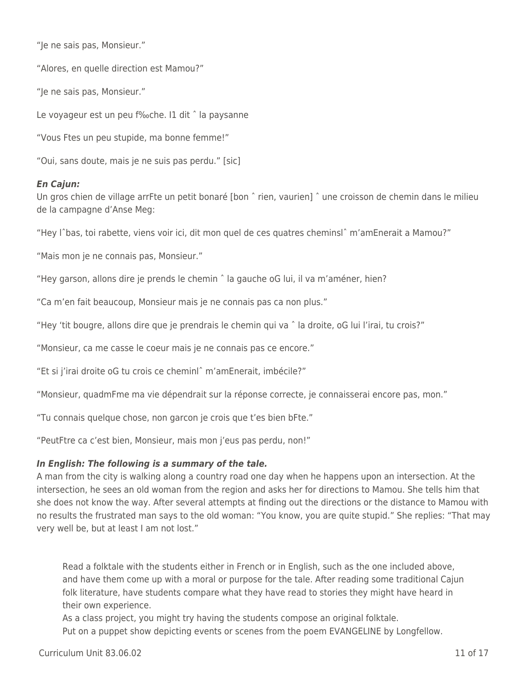"Je ne sais pas, Monsieur."

"Alores, en quelle direction est Mamou?"

"Je ne sais pas, Monsieur."

Le voyageur est un peu f‰che. I1 dit ˆ la paysanne

"Vous Ftes un peu stupide, ma bonne femme!"

"Oui, sans doute, mais je ne suis pas perdu." [sic]

## *En Cajun:*

Un gros chien de village arrFte un petit bonaré [bon ˆ rien, vaurien] ˆ une croisson de chemin dans le milieu de la campagne d'Anse Meg:

"Hey lˆbas, toi rabette, viens voir ici, dit mon quel de ces quatres cheminslˆ m'amEnerait a Mamou?"

"Mais mon je ne connais pas, Monsieur."

"Hey garson, allons dire je prends le chemin ˆ la gauche oG lui, il va m'améner, hien?

"Ca m'en fait beaucoup, Monsieur mais je ne connais pas ca non plus."

"Hey 'tit bougre, allons dire que je prendrais le chemin qui va ˆ la droite, oG lui l'irai, tu crois?"

"Monsieur, ca me casse le coeur mais je ne connais pas ce encore."

"Et si j'irai droite oG tu crois ce cheminlˆ m'amEnerait, imbécile?"

"Monsieur, quadmFme ma vie dépendrait sur la réponse correcte, je connaisserai encore pas, mon."

"Tu connais quelque chose, non garcon je crois que t'es bien bFte."

"PeutFtre ca c'est bien, Monsieur, mais mon j'eus pas perdu, non!"

## *In English: The following is a summary of the tale.*

A man from the city is walking along a country road one day when he happens upon an intersection. At the intersection, he sees an old woman from the region and asks her for directions to Mamou. She tells him that she does not know the way. After several attempts at finding out the directions or the distance to Mamou with no results the frustrated man says to the old woman: "You know, you are quite stupid." She replies: "That may very well be, but at least I am not lost."

Read a folktale with the students either in French or in English, such as the one included above, and have them come up with a moral or purpose for the tale. After reading some traditional Cajun folk literature, have students compare what they have read to stories they might have heard in their own experience.

As a class project, you might try having the students compose an original folktale. Put on a puppet show depicting events or scenes from the poem EVANGELINE by Longfellow.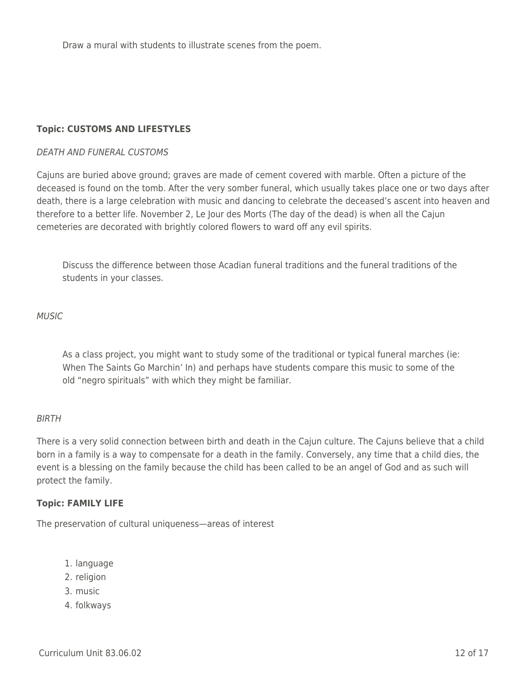Draw a mural with students to illustrate scenes from the poem.

## **Topic: CUSTOMS AND LIFESTYLES**

#### DEATH AND FUNERAL CUSTOMS

Cajuns are buried above ground; graves are made of cement covered with marble. Often a picture of the deceased is found on the tomb. After the very somber funeral, which usually takes place one or two days after death, there is a large celebration with music and dancing to celebrate the deceased's ascent into heaven and therefore to a better life. November 2, Le Jour des Morts (The day of the dead) is when all the Cajun cemeteries are decorated with brightly colored flowers to ward off any evil spirits.

Discuss the difference between those Acadian funeral traditions and the funeral traditions of the students in your classes.

MUSIC

As a class project, you might want to study some of the traditional or typical funeral marches (ie: When The Saints Go Marchin' In) and perhaps have students compare this music to some of the old "negro spirituals" with which they might be familiar.

#### BIRTH

There is a very solid connection between birth and death in the Cajun culture. The Cajuns believe that a child born in a family is a way to compensate for a death in the family. Conversely, any time that a child dies, the event is a blessing on the family because the child has been called to be an angel of God and as such will protect the family.

#### **Topic: FAMILY LIFE**

The preservation of cultural uniqueness—areas of interest

- 1. language
- 2. religion
- 3. music
- 4. folkways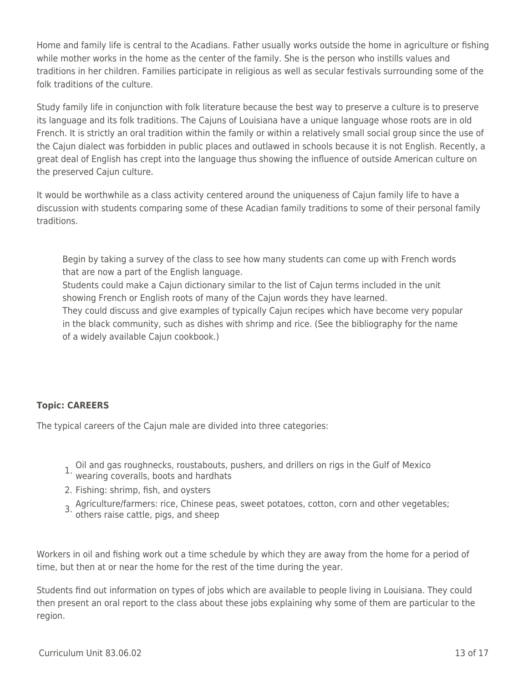Home and family life is central to the Acadians. Father usually works outside the home in agriculture or fishing while mother works in the home as the center of the family. She is the person who instills values and traditions in her children. Families participate in religious as well as secular festivals surrounding some of the folk traditions of the culture.

Study family life in conjunction with folk literature because the best way to preserve a culture is to preserve its language and its folk traditions. The Cajuns of Louisiana have a unique language whose roots are in old French. It is strictly an oral tradition within the family or within a relatively small social group since the use of the Cajun dialect was forbidden in public places and outlawed in schools because it is not English. Recently, a great deal of English has crept into the language thus showing the influence of outside American culture on the preserved Cajun culture.

It would be worthwhile as a class activity centered around the uniqueness of Cajun family life to have a discussion with students comparing some of these Acadian family traditions to some of their personal family traditions.

Begin by taking a survey of the class to see how many students can come up with French words that are now a part of the English language.

Students could make a Cajun dictionary similar to the list of Cajun terms included in the unit showing French or English roots of many of the Cajun words they have learned.

They could discuss and give examples of typically Cajun recipes which have become very popular in the black community, such as dishes with shrimp and rice. (See the bibliography for the name of a widely available Cajun cookbook.)

## **Topic: CAREERS**

The typical careers of the Cajun male are divided into three categories:

- 1. Oil and gas roughnecks, roustabouts, pushers, and drillers on rigs in the Gulf of Mexico wearing coveralls, boots and hardhats
- 
- 2. Fishing: shrimp, fish, and oysters
- 3. Agriculture/farmers: rice, Chinese peas, sweet potatoes, cotton, corn and other vegetables; others raise cattle, pigs, and sheep

Workers in oil and fishing work out a time schedule by which they are away from the home for a period of time, but then at or near the home for the rest of the time during the year.

Students find out information on types of jobs which are available to people living in Louisiana. They could then present an oral report to the class about these jobs explaining why some of them are particular to the region.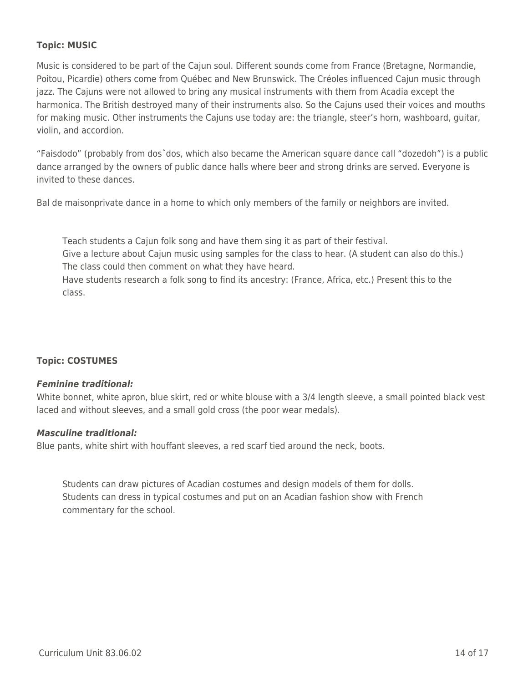## **Topic: MUSIC**

Music is considered to be part of the Cajun soul. Different sounds come from France (Bretagne, Normandie, Poitou, Picardie) others come from Québec and New Brunswick. The Créoles influenced Cajun music through jazz. The Cajuns were not allowed to bring any musical instruments with them from Acadia except the harmonica. The British destroyed many of their instruments also. So the Cajuns used their voices and mouths for making music. Other instruments the Cajuns use today are: the triangle, steer's horn, washboard, guitar, violin, and accordion.

"Faisdodo" (probably from dosˆdos, which also became the American square dance call "dozedoh") is a public dance arranged by the owners of public dance halls where beer and strong drinks are served. Everyone is invited to these dances.

Bal de maisonprivate dance in a home to which only members of the family or neighbors are invited.

Teach students a Cajun folk song and have them sing it as part of their festival.

Give a lecture about Cajun music using samples for the class to hear. (A student can also do this.) The class could then comment on what they have heard.

Have students research a folk song to find its ancestry: (France, Africa, etc.) Present this to the class.

## **Topic: COSTUMES**

#### *Feminine traditional:*

White bonnet, white apron, blue skirt, red or white blouse with a 3/4 length sleeve, a small pointed black vest laced and without sleeves, and a small gold cross (the poor wear medals).

#### *Masculine traditional:*

Blue pants, white shirt with houffant sleeves, a red scarf tied around the neck, boots.

Students can draw pictures of Acadian costumes and design models of them for dolls. Students can dress in typical costumes and put on an Acadian fashion show with French commentary for the school.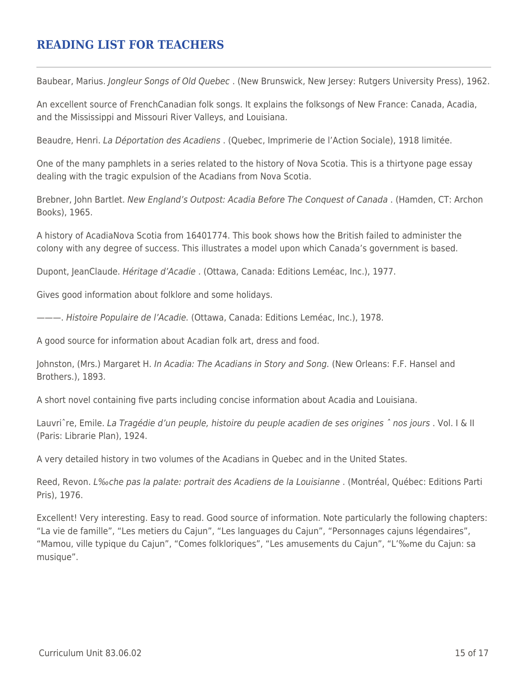## **READING LIST FOR TEACHERS**

Baubear, Marius. Jongleur Songs of Old Quebec. (New Brunswick, New Jersey: Rutgers University Press), 1962.

An excellent source of FrenchCanadian folk songs. It explains the folksongs of New France: Canada, Acadia, and the Mississippi and Missouri River Valleys, and Louisiana.

Beaudre, Henri. La Déportation des Acadiens . (Quebec, Imprimerie de l'Action Sociale), 1918 limitée.

One of the many pamphlets in a series related to the history of Nova Scotia. This is a thirtyone page essay dealing with the tragic expulsion of the Acadians from Nova Scotia.

Brebner, John Bartlet. New England's Outpost: Acadia Before The Conquest of Canada . (Hamden, CT: Archon Books), 1965.

A history of AcadiaNova Scotia from 16401774. This book shows how the British failed to administer the colony with any degree of success. This illustrates a model upon which Canada's government is based.

Dupont, JeanClaude. Héritage d'Acadie . (Ottawa, Canada: Editions Leméac, Inc.), 1977.

Gives good information about folklore and some holidays.

———. Histoire Populaire de l'Acadie. (Ottawa, Canada: Editions Leméac, Inc.), 1978.

A good source for information about Acadian folk art, dress and food.

Johnston, (Mrs.) Margaret H. In Acadia: The Acadians in Story and Song. (New Orleans: F.F. Hansel and Brothers.), 1893.

A short novel containing five parts including concise information about Acadia and Louisiana.

Lauvriˆre, Emile. La Tragédie d'un peuple, histoire du peuple acadien de ses origines ˆ nos jours . Vol. I & II (Paris: Librarie Plan), 1924.

A very detailed history in two volumes of the Acadians in Quebec and in the United States.

Reed, Revon. L‰che pas la palate: portrait des Acadiens de la Louisianne . (Montréal, Québec: Editions Parti Pris), 1976.

Excellent! Very interesting. Easy to read. Good source of information. Note particularly the following chapters: "La vie de famille", "Les metiers du Cajun", "Les languages du Cajun", "Personnages cajuns légendaires", "Mamou, ville typique du Cajun", "Comes folkloriques", "Les amusements du Cajun", "L'‰me du Cajun: sa musique".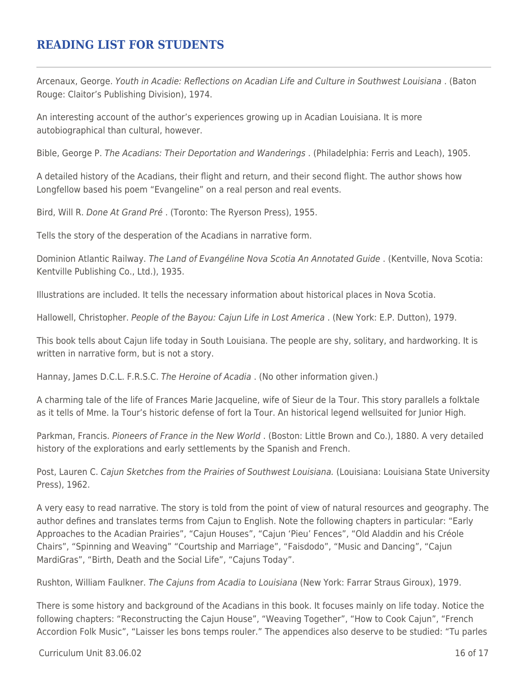## **READING LIST FOR STUDENTS**

Arcenaux, George. Youth in Acadie: Reflections on Acadian Life and Culture in Southwest Louisiana . (Baton Rouge: Claitor's Publishing Division), 1974.

An interesting account of the author's experiences growing up in Acadian Louisiana. It is more autobiographical than cultural, however.

Bible, George P. The Acadians: Their Deportation and Wanderings . (Philadelphia: Ferris and Leach), 1905.

A detailed history of the Acadians, their flight and return, and their second flight. The author shows how Longfellow based his poem "Evangeline" on a real person and real events.

Bird, Will R. Done At Grand Pré . (Toronto: The Ryerson Press), 1955.

Tells the story of the desperation of the Acadians in narrative form.

Dominion Atlantic Railway. The Land of Evangéline Nova Scotia An Annotated Guide . (Kentville, Nova Scotia: Kentville Publishing Co., Ltd.), 1935.

Illustrations are included. It tells the necessary information about historical places in Nova Scotia.

Hallowell, Christopher. People of the Bayou: Cajun Life in Lost America . (New York: E.P. Dutton), 1979.

This book tells about Cajun life today in South Louisiana. The people are shy, solitary, and hardworking. It is written in narrative form, but is not a story.

Hannay, James D.C.L. F.R.S.C. The Heroine of Acadia . (No other information given.)

A charming tale of the life of Frances Marie Jacqueline, wife of Sieur de la Tour. This story parallels a folktale as it tells of Mme. la Tour's historic defense of fort la Tour. An historical legend wellsuited for Junior High.

Parkman, Francis. Pioneers of France in the New World . (Boston: Little Brown and Co.), 1880. A very detailed history of the explorations and early settlements by the Spanish and French.

Post, Lauren C. Cajun Sketches from the Prairies of Southwest Louisiana. (Louisiana: Louisiana State University Press), 1962.

A very easy to read narrative. The story is told from the point of view of natural resources and geography. The author defines and translates terms from Cajun to English. Note the following chapters in particular: "Early Approaches to the Acadian Prairies", "Cajun Houses", "Cajun 'Pieu' Fences", "Old Aladdin and his Créole Chairs", "Spinning and Weaving" "Courtship and Marriage", "Faisdodo", "Music and Dancing", "Cajun MardiGras", "Birth, Death and the Social Life", "Cajuns Today".

Rushton, William Faulkner. The Cajuns from Acadia to Louisiana (New York: Farrar Straus Giroux), 1979.

There is some history and background of the Acadians in this book. It focuses mainly on life today. Notice the following chapters: "Reconstructing the Cajun House", "Weaving Together", "How to Cook Cajun", "French Accordion Folk Music", "Laisser les bons temps rouler." The appendices also deserve to be studied: "Tu parles